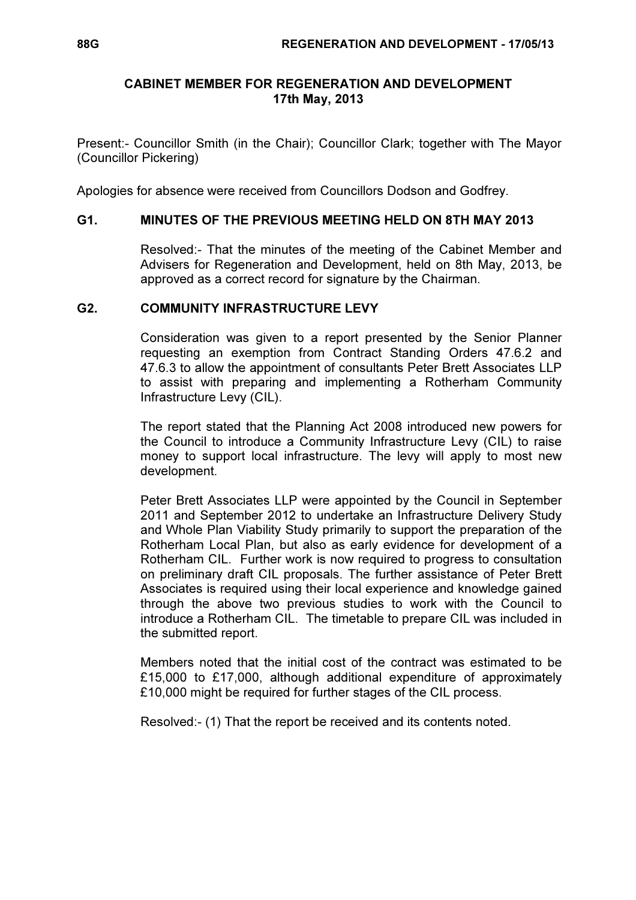## CABINET MEMBER FOR REGENERATION AND DEVELOPMENT 17th May, 2013

Present:- Councillor Smith (in the Chair); Councillor Clark; together with The Mayor (Councillor Pickering)

Apologies for absence were received from Councillors Dodson and Godfrey.

## G1. MINUTES OF THE PREVIOUS MEETING HELD ON 8TH MAY 2013

 Resolved:- That the minutes of the meeting of the Cabinet Member and Advisers for Regeneration and Development, held on 8th May, 2013, be approved as a correct record for signature by the Chairman.

## G2. COMMUNITY INFRASTRUCTURE LEVY

 Consideration was given to a report presented by the Senior Planner requesting an exemption from Contract Standing Orders 47.6.2 and 47.6.3 to allow the appointment of consultants Peter Brett Associates LLP to assist with preparing and implementing a Rotherham Community Infrastructure Levy (CIL).

The report stated that the Planning Act 2008 introduced new powers for the Council to introduce a Community Infrastructure Levy (CIL) to raise money to support local infrastructure. The levy will apply to most new development.

Peter Brett Associates LLP were appointed by the Council in September 2011 and September 2012 to undertake an Infrastructure Delivery Study and Whole Plan Viability Study primarily to support the preparation of the Rotherham Local Plan, but also as early evidence for development of a Rotherham CIL. Further work is now required to progress to consultation on preliminary draft CIL proposals. The further assistance of Peter Brett Associates is required using their local experience and knowledge gained through the above two previous studies to work with the Council to introduce a Rotherham CIL. The timetable to prepare CIL was included in the submitted report.

Members noted that the initial cost of the contract was estimated to be £15,000 to £17,000, although additional expenditure of approximately £10,000 might be required for further stages of the CIL process.

Resolved:- (1) That the report be received and its contents noted.